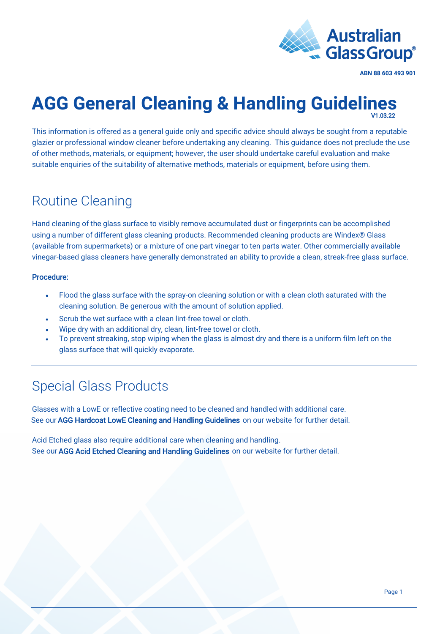

**ABN 88 603 493 901**

#### **AGG General Cleaning & Handling Guidelines**  V1.03.22

This information is offered as a general guide only and specific advice should always be sought from a reputable glazier or professional window cleaner before undertaking any cleaning. This guidance does not preclude the use of other methods, materials, or equipment; however, the user should undertake careful evaluation and make suitable enquiries of the suitability of alternative methods, materials or equipment, before using them.

### Routine Cleaning

Hand cleaning of the glass surface to visibly remove accumulated dust or fingerprints can be accomplished using a number of different glass cleaning products. Recommended cleaning products are Windex® Glass (available from supermarkets) or a mixture of one part vinegar to ten parts water. Other commercially available vinegar-based glass cleaners have generally demonstrated an ability to provide a clean, streak-free glass surface.

#### Procedure:

- Flood the glass surface with the spray-on cleaning solution or with a clean cloth saturated with the cleaning solution. Be generous with the amount of solution applied.
- Scrub the wet surface with a clean lint-free towel or cloth.
- Wipe dry with an additional dry, clean, lint-free towel or cloth.
- To prevent streaking, stop wiping when the glass is almost dry and there is a uniform film left on the glass surface that will quickly evaporate.

## Special Glass Products

Glasses with a LowE or reflective coating need to be cleaned and handled with additional care. See our [AGG Hardcoat LowE Cleaning and Handling Guidelines](https://agg.com.au/wp-content/uploads/2022/03/AGG-Guideline-Hardcoat-LowE-Cleaning-Handling.pdf) on our website for further detail.

Acid Etched glass also require additional care when cleaning and handling. See our [AGG Acid Etched Cleaning and Handling Guidelines](https://agg.com.au/wp-content/uploads/2022/03/AGG-Guideline-Acid-Etched-Cleaning-Handling.pdf) on our website for further detail.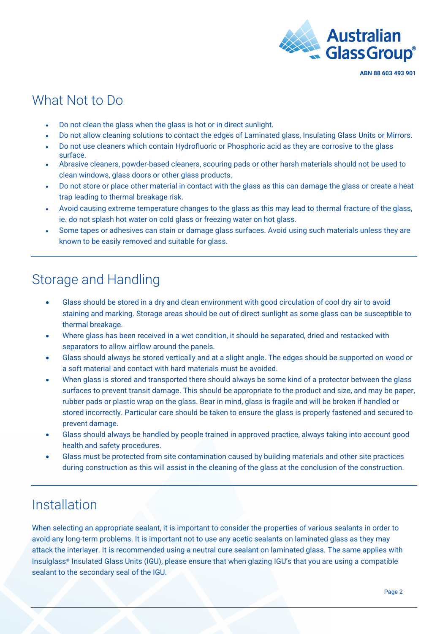

#### What Not to Do

- Do not clean the glass when the glass is hot or in direct sunlight.
- Do not allow cleaning solutions to contact the edges of Laminated glass, Insulating Glass Units or Mirrors.
- Do not use cleaners which contain Hydrofluoric or Phosphoric acid as they are corrosive to the glass surface.
- Abrasive cleaners, powder-based cleaners, scouring pads or other harsh materials should not be used to clean windows, glass doors or other glass products.
- Do not store or place other material in contact with the glass as this can damage the glass or create a heat trap leading to thermal breakage risk.
- Avoid causing extreme temperature changes to the glass as this may lead to thermal fracture of the glass, ie. do not splash hot water on cold glass or freezing water on hot glass.
- Some tapes or adhesives can stain or damage glass surfaces. Avoid using such materials unless they are known to be easily removed and suitable for glass.

## Storage and Handling

- Glass should be stored in a dry and clean environment with good circulation of cool dry air to avoid staining and marking. Storage areas should be out of direct sunlight as some glass can be susceptible to thermal breakage.
- Where glass has been received in a wet condition, it should be separated, dried and restacked with separators to allow airflow around the panels.
- Glass should always be stored vertically and at a slight angle. The edges should be supported on wood or a soft material and contact with hard materials must be avoided.
- When glass is stored and transported there should always be some kind of a protector between the glass surfaces to prevent transit damage. This should be appropriate to the product and size, and may be paper, rubber pads or plastic wrap on the glass. Bear in mind, glass is fragile and will be broken if handled or stored incorrectly. Particular care should be taken to ensure the glass is properly fastened and secured to prevent damage.
- Glass should always be handled by people trained in approved practice, always taking into account good health and safety procedures.
- Glass must be protected from site contamination caused by building materials and other site practices during construction as this will assist in the cleaning of the glass at the conclusion of the construction.

### Installation

When selecting an appropriate sealant, it is important to consider the properties of various sealants in order to avoid any long-term problems. It is important not to use any acetic sealants on laminated glass as they may attack the interlayer. It is recommended using a neutral cure sealant on laminated glass. The same applies with [Insulglass](https://agg.com.au/products/insulglass/)® Insulated Glass Units (IGU), please ensure that when glazing IGU's that you are using a compatible sealant to the secondary seal of the IGU.